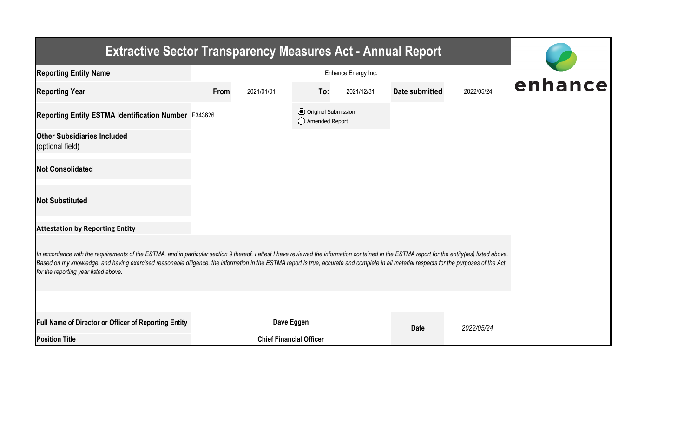| <b>Extractive Sector Transparency Measures Act - Annual Report</b>                                                                                                                                                                                                                                                                                                                                                                    |      |                                |                                                  |            |                |            |  |  |  |  |
|---------------------------------------------------------------------------------------------------------------------------------------------------------------------------------------------------------------------------------------------------------------------------------------------------------------------------------------------------------------------------------------------------------------------------------------|------|--------------------------------|--------------------------------------------------|------------|----------------|------------|--|--|--|--|
| <b>Reporting Entity Name</b>                                                                                                                                                                                                                                                                                                                                                                                                          |      | enhance                        |                                                  |            |                |            |  |  |  |  |
| <b>Reporting Year</b>                                                                                                                                                                                                                                                                                                                                                                                                                 | From | 2021/01/01                     | To:                                              | 2021/12/31 | Date submitted | 2022/05/24 |  |  |  |  |
| Reporting Entity ESTMA Identification Number E343626                                                                                                                                                                                                                                                                                                                                                                                  |      |                                | <b>⊙</b> Original Submission<br>◯ Amended Report |            |                |            |  |  |  |  |
| <b>Other Subsidiaries Included</b><br>(optional field)                                                                                                                                                                                                                                                                                                                                                                                |      |                                |                                                  |            |                |            |  |  |  |  |
| <b>Not Consolidated</b>                                                                                                                                                                                                                                                                                                                                                                                                               |      |                                |                                                  |            |                |            |  |  |  |  |
| <b>Not Substituted</b>                                                                                                                                                                                                                                                                                                                                                                                                                |      |                                |                                                  |            |                |            |  |  |  |  |
| <b>Attestation by Reporting Entity</b>                                                                                                                                                                                                                                                                                                                                                                                                |      |                                |                                                  |            |                |            |  |  |  |  |
| In accordance with the requirements of the ESTMA, and in particular section 9 thereof, I attest I have reviewed the information contained in the ESTMA report for the entity(ies) listed above.<br>Based on my knowledge, and having exercised reasonable diligence, the information in the ESTMA report is true, accurate and complete in all material respects for the purposes of the Act,<br>for the reporting year listed above. |      |                                |                                                  |            |                |            |  |  |  |  |
|                                                                                                                                                                                                                                                                                                                                                                                                                                       |      |                                |                                                  |            |                |            |  |  |  |  |
| <b>Full Name of Director or Officer of Reporting Entity</b>                                                                                                                                                                                                                                                                                                                                                                           |      | Dave Eggen                     |                                                  |            | <b>Date</b>    | 2022/05/24 |  |  |  |  |
| <b>Position Title</b>                                                                                                                                                                                                                                                                                                                                                                                                                 |      | <b>Chief Financial Officer</b> |                                                  |            |                |            |  |  |  |  |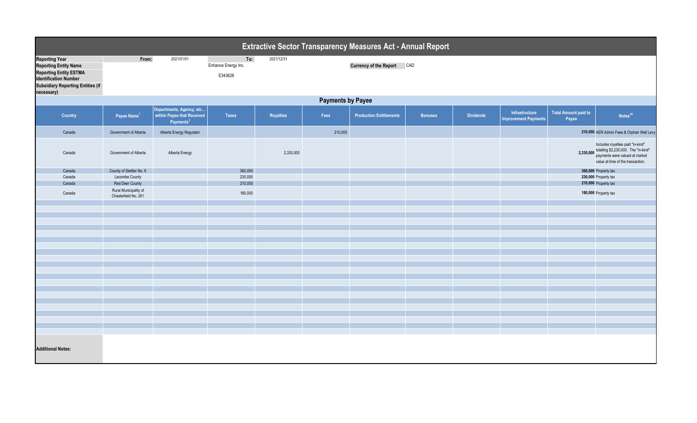|                                                                                                                                                                                  | <b>Extractive Sector Transparency Measures Act - Annual Report</b> |                                                                                 |                                       |            |         |                                |                |                  |                                               |                                      |                                                                                                                                                            |  |
|----------------------------------------------------------------------------------------------------------------------------------------------------------------------------------|--------------------------------------------------------------------|---------------------------------------------------------------------------------|---------------------------------------|------------|---------|--------------------------------|----------------|------------------|-----------------------------------------------|--------------------------------------|------------------------------------------------------------------------------------------------------------------------------------------------------------|--|
| <b>Reporting Year</b><br><b>Reporting Entity Name</b><br><b>Reporting Entity ESTMA</b><br><b>Identification Number</b><br><b>Subsidiary Reporting Entities (if</b><br>necessary) | From:                                                              | 2021/01/01                                                                      | To:<br>Enhance Energy Inc.<br>E343626 | 2021/12/31 |         | Currency of the Report CAD     |                |                  |                                               |                                      |                                                                                                                                                            |  |
|                                                                                                                                                                                  | <b>Payments by Payee</b>                                           |                                                                                 |                                       |            |         |                                |                |                  |                                               |                                      |                                                                                                                                                            |  |
| Country                                                                                                                                                                          | Payee Name <sup>1</sup>                                            | Departments, Agency, etc<br>within Payee that Received<br>Payments <sup>2</sup> | <b>Taxes</b>                          | Royalties  | Fees    | <b>Production Entitlements</b> | <b>Bonuses</b> | <b>Dividends</b> | Infrastructure<br><b>Improvement Payments</b> | <b>Total Amount paid to</b><br>Payee | Notes <sup>34</sup>                                                                                                                                        |  |
| Canada                                                                                                                                                                           | Government of Alberta                                              | Alberta Energy Regulator                                                        |                                       |            | 210,000 |                                |                |                  |                                               |                                      | 210,000 AER Admin Fees & Orphan Well Levy                                                                                                                  |  |
| Canada                                                                                                                                                                           | Government of Alberta                                              | Alberta Energy                                                                  |                                       | 2,330,000  |         |                                |                |                  |                                               |                                      | Includes royalties paid "in-kind"<br>2,330,000 totalling \$2,230,000. The "in-kind"<br>payments were valued at market<br>value at time of the transaction. |  |
| Canada                                                                                                                                                                           | County of Stettler No. 6                                           |                                                                                 | 360,000                               |            |         |                                |                |                  |                                               |                                      | 360,000 Property tax                                                                                                                                       |  |
| Canada                                                                                                                                                                           | Lacombe County                                                     |                                                                                 | 230,000                               |            |         |                                |                |                  |                                               |                                      | 230,000 Property tax                                                                                                                                       |  |
| Canada                                                                                                                                                                           | Red Deer County                                                    |                                                                                 | 210,000                               |            |         |                                |                |                  |                                               |                                      | 210,000 Property tax                                                                                                                                       |  |
| Canada                                                                                                                                                                           | Rural Municipality of<br>Chesterfield No. 261                      |                                                                                 | 180,000                               |            |         |                                |                |                  |                                               |                                      | 180,000 Property tax                                                                                                                                       |  |
|                                                                                                                                                                                  |                                                                    |                                                                                 |                                       |            |         |                                |                |                  |                                               |                                      |                                                                                                                                                            |  |
|                                                                                                                                                                                  |                                                                    |                                                                                 |                                       |            |         |                                |                |                  |                                               |                                      |                                                                                                                                                            |  |
|                                                                                                                                                                                  |                                                                    |                                                                                 |                                       |            |         |                                |                |                  |                                               |                                      |                                                                                                                                                            |  |
|                                                                                                                                                                                  |                                                                    |                                                                                 |                                       |            |         |                                |                |                  |                                               |                                      |                                                                                                                                                            |  |
|                                                                                                                                                                                  |                                                                    |                                                                                 |                                       |            |         |                                |                |                  |                                               |                                      |                                                                                                                                                            |  |
|                                                                                                                                                                                  |                                                                    |                                                                                 |                                       |            |         |                                |                |                  |                                               |                                      |                                                                                                                                                            |  |
|                                                                                                                                                                                  |                                                                    |                                                                                 |                                       |            |         |                                |                |                  |                                               |                                      |                                                                                                                                                            |  |
|                                                                                                                                                                                  |                                                                    |                                                                                 |                                       |            |         |                                |                |                  |                                               |                                      |                                                                                                                                                            |  |
|                                                                                                                                                                                  |                                                                    |                                                                                 |                                       |            |         |                                |                |                  |                                               |                                      |                                                                                                                                                            |  |
|                                                                                                                                                                                  |                                                                    |                                                                                 |                                       |            |         |                                |                |                  |                                               |                                      |                                                                                                                                                            |  |
|                                                                                                                                                                                  |                                                                    |                                                                                 |                                       |            |         |                                |                |                  |                                               |                                      |                                                                                                                                                            |  |
|                                                                                                                                                                                  |                                                                    |                                                                                 |                                       |            |         |                                |                |                  |                                               |                                      |                                                                                                                                                            |  |
|                                                                                                                                                                                  |                                                                    |                                                                                 |                                       |            |         |                                |                |                  |                                               |                                      |                                                                                                                                                            |  |
|                                                                                                                                                                                  |                                                                    |                                                                                 |                                       |            |         |                                |                |                  |                                               |                                      |                                                                                                                                                            |  |
|                                                                                                                                                                                  |                                                                    |                                                                                 |                                       |            |         |                                |                |                  |                                               |                                      |                                                                                                                                                            |  |
|                                                                                                                                                                                  |                                                                    |                                                                                 |                                       |            |         |                                |                |                  |                                               |                                      |                                                                                                                                                            |  |
|                                                                                                                                                                                  |                                                                    |                                                                                 |                                       |            |         |                                |                |                  |                                               |                                      |                                                                                                                                                            |  |
|                                                                                                                                                                                  |                                                                    |                                                                                 |                                       |            |         |                                |                |                  |                                               |                                      |                                                                                                                                                            |  |
|                                                                                                                                                                                  |                                                                    |                                                                                 |                                       |            |         |                                |                |                  |                                               |                                      |                                                                                                                                                            |  |
| <b>Additional Notes:</b>                                                                                                                                                         |                                                                    |                                                                                 |                                       |            |         |                                |                |                  |                                               |                                      |                                                                                                                                                            |  |